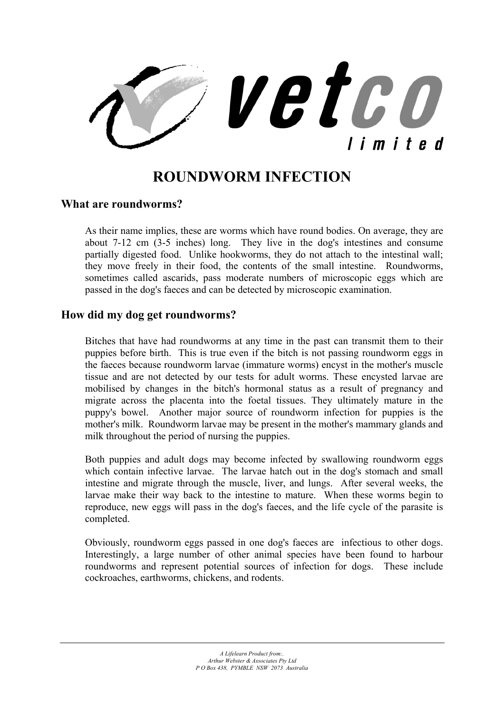

# **ROUNDWORM INFECTION**

#### **What are roundworms?**

As their name implies, these are worms which have round bodies. On average, they are about 7-12 cm (3-5 inches) long. They live in the dog's intestines and consume partially digested food. Unlike hookworms, they do not attach to the intestinal wall; they move freely in their food, the contents of the small intestine. Roundworms, sometimes called ascarids, pass moderate numbers of microscopic eggs which are passed in the dog's faeces and can be detected by microscopic examination.

#### **How did my dog get roundworms?**

Bitches that have had roundworms at any time in the past can transmit them to their puppies before birth. This is true even if the bitch is not passing roundworm eggs in the faeces because roundworm larvae (immature worms) encyst in the mother's muscle tissue and are not detected by our tests for adult worms. These encysted larvae are mobilised by changes in the bitch's hormonal status as a result of pregnancy and migrate across the placenta into the foetal tissues. They ultimately mature in the puppy's bowel. Another major source of roundworm infection for puppies is the mother's milk. Roundworm larvae may be present in the mother's mammary glands and milk throughout the period of nursing the puppies.

Both puppies and adult dogs may become infected by swallowing roundworm eggs which contain infective larvae. The larvae hatch out in the dog's stomach and small intestine and migrate through the muscle, liver, and lungs. After several weeks, the larvae make their way back to the intestine to mature. When these worms begin to reproduce, new eggs will pass in the dog's faeces, and the life cycle of the parasite is completed.

Obviously, roundworm eggs passed in one dog's faeces are infectious to other dogs. Interestingly, a large number of other animal species have been found to harbour roundworms and represent potential sources of infection for dogs. These include cockroaches, earthworms, chickens, and rodents.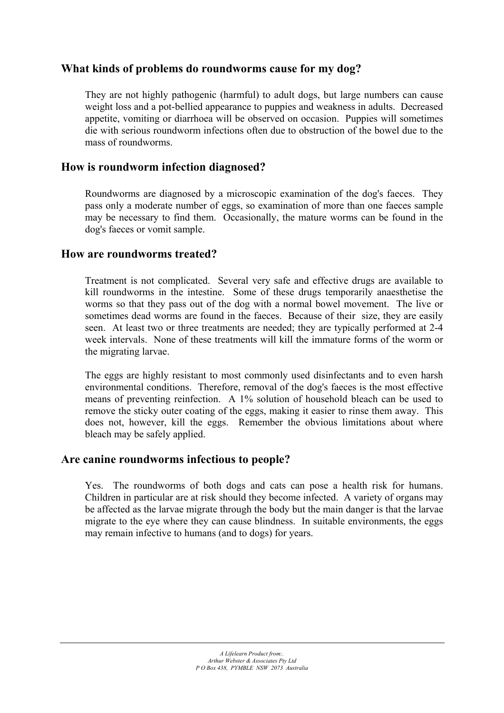## **What kinds of problems do roundworms cause for my dog?**

They are not highly pathogenic (harmful) to adult dogs, but large numbers can cause weight loss and a pot-bellied appearance to puppies and weakness in adults. Decreased appetite, vomiting or diarrhoea will be observed on occasion. Puppies will sometimes die with serious roundworm infections often due to obstruction of the bowel due to the mass of roundworms.

## **How is roundworm infection diagnosed?**

Roundworms are diagnosed by a microscopic examination of the dog's faeces. They pass only a moderate number of eggs, so examination of more than one faeces sample may be necessary to find them. Occasionally, the mature worms can be found in the dog's faeces or vomit sample.

#### **How are roundworms treated?**

Treatment is not complicated. Several very safe and effective drugs are available to kill roundworms in the intestine. Some of these drugs temporarily anaesthetise the worms so that they pass out of the dog with a normal bowel movement. The live or sometimes dead worms are found in the faeces. Because of their size, they are easily seen. At least two or three treatments are needed; they are typically performed at 2-4 week intervals. None of these treatments will kill the immature forms of the worm or the migrating larvae.

The eggs are highly resistant to most commonly used disinfectants and to even harsh environmental conditions. Therefore, removal of the dog's faeces is the most effective means of preventing reinfection. A 1% solution of household bleach can be used to remove the sticky outer coating of the eggs, making it easier to rinse them away. This does not, however, kill the eggs. Remember the obvious limitations about where bleach may be safely applied.

## **Are canine roundworms infectious to people?**

Yes. The roundworms of both dogs and cats can pose a health risk for humans. Children in particular are at risk should they become infected. A variety of organs may be affected as the larvae migrate through the body but the main danger is that the larvae migrate to the eye where they can cause blindness. In suitable environments, the eggs may remain infective to humans (and to dogs) for years.